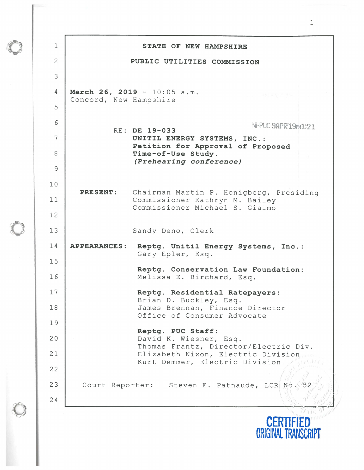| Concord, New Hampshire | PUBLIC UTILITIES COMMISSION<br>March 26, 2019 - 10:05 a.m.<br>NHPUC SAPR'19PM1:21<br>RE: DE 19-033<br>UNITIL ENERGY SYSTEMS, INC.:<br>Petition for Approval of Proposed<br>Time-of-Use Study. |
|------------------------|-----------------------------------------------------------------------------------------------------------------------------------------------------------------------------------------------|
|                        |                                                                                                                                                                                               |
|                        |                                                                                                                                                                                               |
|                        |                                                                                                                                                                                               |
|                        |                                                                                                                                                                                               |
|                        |                                                                                                                                                                                               |
|                        |                                                                                                                                                                                               |
|                        |                                                                                                                                                                                               |
|                        | (Prehearing conference)                                                                                                                                                                       |
|                        | Chairman Martin P. Honigberg, Presiding                                                                                                                                                       |
|                        | Commissioner Kathryn M. Bailey<br>Commissioner Michael S. Giaimo                                                                                                                              |
|                        |                                                                                                                                                                                               |
|                        | Sandy Deno, Clerk                                                                                                                                                                             |
| <b>APPEARANCES:</b>    | Reptg. Unitil Energy Systems, Inc.:<br>Gary Epler, Esq.                                                                                                                                       |
|                        |                                                                                                                                                                                               |
|                        | Reptg. Conservation Law Foundation:<br>Melissa E. Birchard, Esq.                                                                                                                              |
|                        | Reptg. Residential Ratepayers:<br>Brian D. Buckley, Esq.                                                                                                                                      |
|                        | James Brennan, Finance Director<br>Office of Consumer Advocate                                                                                                                                |
|                        |                                                                                                                                                                                               |
|                        | Reptg. PUC Staff:<br>David K. Wiesner, Esq.                                                                                                                                                   |
|                        | Thomas Frantz, Director/Electric Div.<br>Elizabeth Nixon, Electric Division                                                                                                                   |
|                        | Kurt Demmer, Electric Division                                                                                                                                                                |
|                        | Court Reporter: Steven E. Patnaude, LCR No.                                                                                                                                                   |
|                        |                                                                                                                                                                                               |
|                        | <b>PRESENT:</b>                                                                                                                                                                               |

 $\mathbb{C}$ 

 $\circ$ 

 $\lambda$ 

 $\circledcirc$ 

**CERTIFIED ORIGINAL TRANSCRIPT**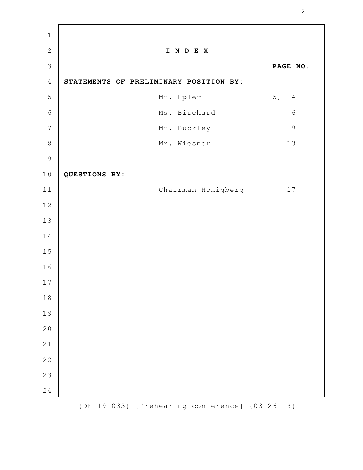| $\mathbf 1$    |                                        |               |
|----------------|----------------------------------------|---------------|
| $\mathbf{2}$   | INDEX                                  |               |
| 3              |                                        | PAGE NO.      |
| $\sqrt{4}$     | STATEMENTS OF PRELIMINARY POSITION BY: |               |
| 5              | Mr. Epler                              | 5, 14         |
| $\epsilon$     | Ms. Birchard                           | $\sqrt{6}$    |
| $\overline{7}$ | Mr. Buckley                            | $\mathcal{G}$ |
| $\,8\,$        | Mr. Wiesner                            | $13$          |
| $\overline{9}$ |                                        |               |
| $10$           | QUESTIONS BY:                          |               |
| $11$           | Chairman Honigberg                     | 17            |
| $1\,2$         |                                        |               |
| 13             |                                        |               |
| 14             |                                        |               |
| 15             |                                        |               |
| 16             |                                        |               |
| $17$           |                                        |               |
| $1\,8$         |                                        |               |
| 19             |                                        |               |
| 20             |                                        |               |
| 21             |                                        |               |
| 22             |                                        |               |
| 23             |                                        |               |
| 24             |                                        |               |
|                |                                        |               |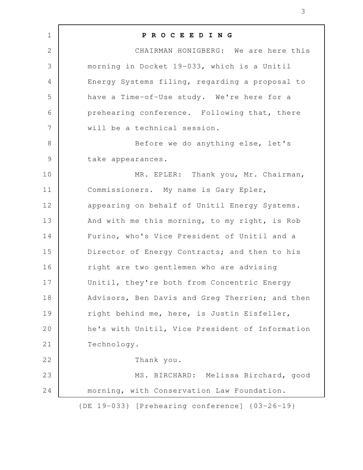| $\mathbf 1$    | PROCEEDING                                      |
|----------------|-------------------------------------------------|
| $\mathbf{2}$   | CHAIRMAN HONIGBERG: We are here this            |
| 3              | morning in Docket 19-033, which is a Unitil     |
| 4              | Energy Systems filing, regarding a proposal to  |
| 5              | have a Time-of-Use study. We're here for a      |
| 6              | prehearing conference. Following that, there    |
| $\overline{7}$ | will be a technical session.                    |
| $8\,$          | Before we do anything else, let's               |
| $\mathsf 9$    | take appearances.                               |
| 10             | MR. EPLER: Thank you, Mr. Chairman,             |
| 11             | Commissioners. My name is Gary Epler,           |
| 12             | appearing on behalf of Unitil Energy Systems.   |
| 13             | And with me this morning, to my right, is Rob   |
| 14             | Furino, who's Vice President of Unitil and a    |
| 15             | Director of Energy Contracts; and then to his   |
| 16             | right are two gentlemen who are advising        |
| 17             | Unitil, they're both from Concentric Energy     |
| 18             | Advisors, Ben Davis and Greg Therrien; and then |
| 19             | right behind me, here, is Justin Eisfeller,     |
| 20             | he's with Unitil, Vice President of Information |
| 21             | Technology.                                     |
| 22             | Thank you.                                      |
| 23             | MS. BIRCHARD: Melissa Birchard, good            |
| 24             | morning, with Conservation Law Foundation.      |
|                | {DE 19-033} [Prehearing conference] {03-26-19}  |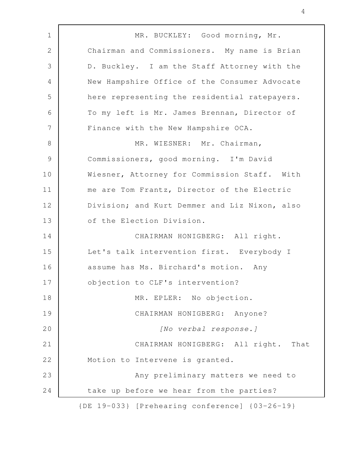MR. BUCKLEY: Good morning, Mr. Chairman and Commissioners. My name is Brian D. Buckley. I am the Staff Attorney with the New Hampshire Office of the Consumer Advocate here representing the residential ratepayers. To my left is Mr. James Brennan, Director of Finance with the New Hampshire OCA. MR. WIESNER: Mr. Chairman, Commissioners, good morning. I'm David Wiesner, Attorney for Commission Staff. With me are Tom Frantz, Director of the Electric Division; and Kurt Demmer and Liz Nixon, also of the Election Division. CHAIRMAN HONIGBERG: All right. Let's talk intervention first. Everybody I assume has Ms. Birchard's motion. Any objection to CLF's intervention? MR. EPLER: No objection. CHAIRMAN HONIGBERG: Anyone? [No verbal response.] CHAIRMAN HONIGBERG: All right. That Motion to Intervene is granted. Any preliminary matters we need to take up before we hear from the parties? {DE 19-033} [Prehearing conference] {03-26-19} 1 2 3 4 5 6 7 8 9 10 11 12 13 14 15 16 17 18 19 20 21 22 23 24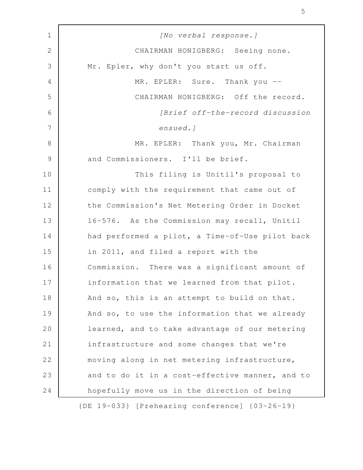| $\mathbf 1$     | [No verbal response.]                           |
|-----------------|-------------------------------------------------|
| $\mathbf{2}$    | CHAIRMAN HONIGBERG: Seeing none.                |
| $\mathfrak{Z}$  | Mr. Epler, why don't you start us off.          |
| $\overline{4}$  | MR. EPLER: Sure. Thank you --                   |
| 5               | CHAIRMAN HONIGBERG: Off the record.             |
| 6               | [Brief off-the-record discussion                |
| $7\phantom{.0}$ | ensued.]                                        |
| $8\,$           | MR. EPLER: Thank you, Mr. Chairman              |
| $\mathcal{G}$   | and Commissioners. I'll be brief.               |
| 10              | This filing is Unitil's proposal to             |
| 11              | comply with the requirement that came out of    |
| 12              | the Commission's Net Metering Order in Docket   |
| 13              | 16-576. As the Commission may recall, Unitil    |
| 14              | had performed a pilot, a Time-of-Use pilot back |
| 15              | in 2011, and filed a report with the            |
| 16              | Commission. There was a significant amount of   |
| 17              | information that we learned from that pilot.    |
| 18              | And so, this is an attempt to build on that.    |
| 19              | And so, to use the information that we already  |
| 20              | learned, and to take advantage of our metering  |
| 21              | infrastructure and some changes that we're      |
| 22              | moving along in net metering infrastructure,    |
| 23              | and to do it in a cost-effective manner, and to |
| 24              | hopefully move us in the direction of being     |
|                 | {DE 19-033} [Prehearing conference] {03-26-19}  |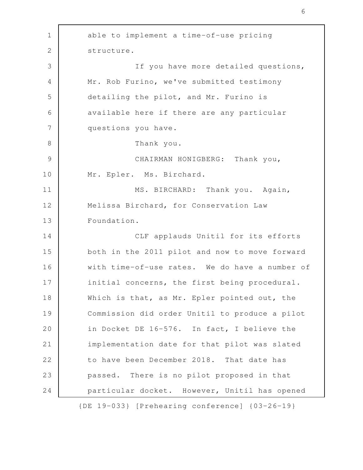able to implement a time-of-use pricing structure. If you have more detailed questions, Mr. Rob Furino, we've submitted testimony detailing the pilot, and Mr. Furino is available here if there are any particular questions you have. Thank you. CHAIRMAN HONIGBERG: Thank you, Mr. Epler. Ms. Birchard. MS. BIRCHARD: Thank you. Again, Melissa Birchard, for Conservation Law Foundation. CLF applauds Unitil for its efforts both in the 2011 pilot and now to move forward with time-of-use rates. We do have a number of initial concerns, the first being procedural. Which is that, as Mr. Epler pointed out, the Commission did order Unitil to produce a pilot in Docket DE 16-576. In fact, I believe the implementation date for that pilot was slated to have been December 2018. That date has passed. There is no pilot proposed in that particular docket. However, Unitil has opened {DE 19-033} [Prehearing conference] {03-26-19} 1 2 3 4 5 6 7 8 9 10 11 12 13 14 15 16 17 18 19 20 21 22 23 24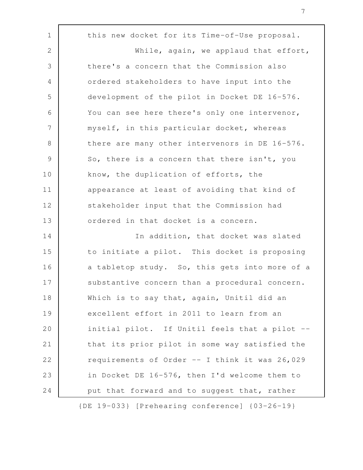this new docket for its Time-of-Use proposal. While, again, we applaud that effort, there's a concern that the Commission also ordered stakeholders to have input into the development of the pilot in Docket DE 16-576. You can see here there's only one intervenor, myself, in this particular docket, whereas there are many other intervenors in DE 16-576. So, there is a concern that there isn't, you know, the duplication of efforts, the appearance at least of avoiding that kind of stakeholder input that the Commission had ordered in that docket is a concern. In addition, that docket was slated to initiate a pilot. This docket is proposing a tabletop study. So, this gets into more of a substantive concern than a procedural concern. Which is to say that, again, Unitil did an excellent effort in 2011 to learn from an initial pilot. If Unitil feels that a pilot - that its prior pilot in some way satisfied the requirements of Order -- I think it was 26,029 in Docket DE 16-576, then I'd welcome them to put that forward and to suggest that, rather 1 2 3 4 5 6 7 8 9 10 11 12 13 14 15 16 17 18 19 20 21 22 23 24

{DE 19-033} [Prehearing conference] {03-26-19}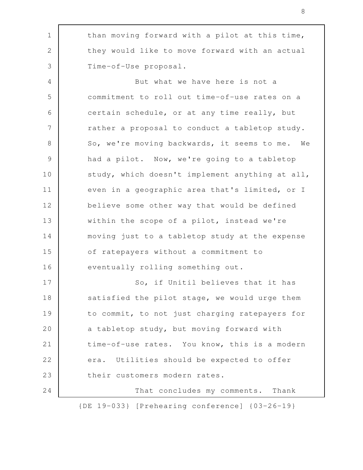than moving forward with a pilot at this time, they would like to move forward with an actual Time-of-Use proposal. But what we have here is not a commitment to roll out time-of-use rates on a certain schedule, or at any time really, but rather a proposal to conduct a tabletop study. So, we're moving backwards, it seems to me. We had a pilot. Now, we're going to a tabletop study, which doesn't implement anything at all, even in a geographic area that's limited, or I believe some other way that would be defined within the scope of a pilot, instead we're moving just to a tabletop study at the expense of ratepayers without a commitment to eventually rolling something out. So, if Unitil believes that it has satisfied the pilot stage, we would urge them to commit, to not just charging ratepayers for a tabletop study, but moving forward with time-of-use rates. You know, this is a modern era. Utilities should be expected to offer their customers modern rates. That concludes my comments. Thank 1 2 3 4 5 6 7 8 9 10 11 12 13 14 15 16 17 18 19 20 21 22 23 24

{DE 19-033} [Prehearing conference] {03-26-19}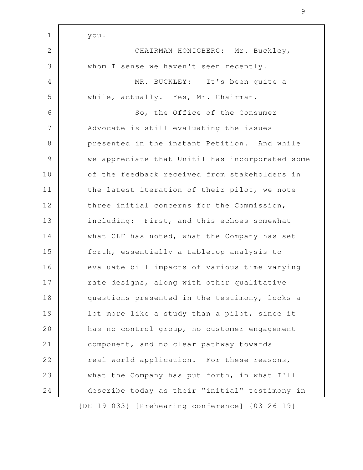| $\mathbf 1$    | you.                                            |
|----------------|-------------------------------------------------|
| 2              | CHAIRMAN HONIGBERG: Mr. Buckley,                |
| 3              | whom I sense we haven't seen recently.          |
| $\overline{4}$ | MR. BUCKLEY: It's been quite a                  |
| 5              | while, actually. Yes, Mr. Chairman.             |
| 6              | So, the Office of the Consumer                  |
| 7              | Advocate is still evaluating the issues         |
| $8\,$          | presented in the instant Petition. And while    |
| $\mathcal{G}$  | we appreciate that Unitil has incorporated some |
| 10             | of the feedback received from stakeholders in   |
| 11             | the latest iteration of their pilot, we note    |
| 12             | three initial concerns for the Commission,      |
| 13             | including: First, and this echoes somewhat      |
| 14             | what CLF has noted, what the Company has set    |
| 15             | forth, essentially a tabletop analysis to       |
| 16             | evaluate bill impacts of various time-varying   |
| 17             | rate designs, along with other qualitative      |
| 18             | questions presented in the testimony, looks a   |
| 19             | lot more like a study than a pilot, since it    |
| 20             | has no control group, no customer engagement    |
| 21             | component, and no clear pathway towards         |
| 22             | real-world application. For these reasons,      |
| 23             | what the Company has put forth, in what I'll    |
| 24             | describe today as their "initial" testimony in  |
|                | {DE 19-033} [Prehearing conference] {03-26-19}  |

Г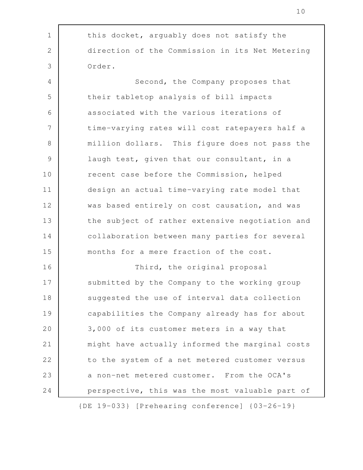| $\mathbf 1$    | this docket, arguably does not satisfy the        |
|----------------|---------------------------------------------------|
| $\mathbf{2}$   | direction of the Commission in its Net Metering   |
| 3              | Order.                                            |
| $\overline{4}$ | Second, the Company proposes that                 |
| 5              | their tabletop analysis of bill impacts           |
| 6              | associated with the various iterations of         |
| 7              | time-varying rates will cost ratepayers half a    |
| 8              | million dollars. This figure does not pass the    |
| $\mathcal{G}$  | laugh test, given that our consultant, in a       |
| 10             | recent case before the Commission, helped         |
| 11             | design an actual time-varying rate model that     |
| 12             | was based entirely on cost causation, and was     |
| 13             | the subject of rather extensive negotiation and   |
| 14             | collaboration between many parties for several    |
| 15             | months for a mere fraction of the cost.           |
| 16             | Third, the original proposal                      |
| 17             | submitted by the Company to the working group     |
| 18             | suggested the use of interval data collection     |
| 19             | capabilities the Company already has for about    |
| 20             | 3,000 of its customer meters in a way that        |
| 21             | might have actually informed the marginal costs   |
| 22             | to the system of a net metered customer versus    |
| 23             | a non-net metered customer. From the OCA's        |
| 24             | perspective, this was the most valuable part of   |
|                | $[DF 10-033]$ $[Drohosning 200form]$ $[03-26-19]$ |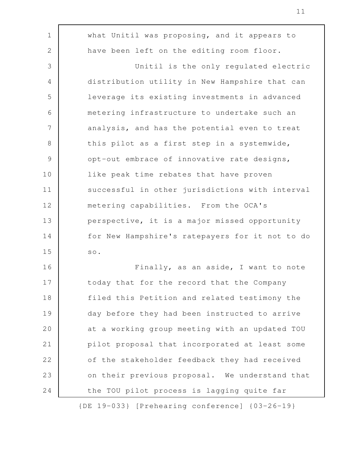what Unitil was proposing, and it appears to have been left on the editing room floor. Unitil is the only regulated electric distribution utility in New Hampshire that can leverage its existing investments in advanced metering infrastructure to undertake such an analysis, and has the potential even to treat this pilot as a first step in a systemwide, opt-out embrace of innovative rate designs, like peak time rebates that have proven successful in other jurisdictions with interval metering capabilities. From the OCA's perspective, it is a major missed opportunity for New Hampshire's ratepayers for it not to do so. Finally, as an aside, I want to note today that for the record that the Company filed this Petition and related testimony the day before they had been instructed to arrive at a working group meeting with an updated TOU pilot proposal that incorporated at least some of the stakeholder feedback they had received on their previous proposal. We understand that 1 2 3 4 5 6 7 8 9 10 11 12 13 14 15 16 17 18 19 20 21 22 23

the TOU pilot process is lagging quite far

24

{DE 19-033} [Prehearing conference] {03-26-19}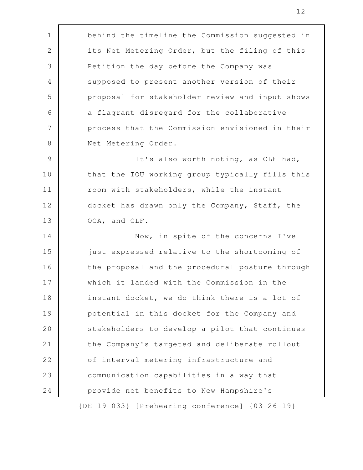behind the timeline the Commission suggested in its Net Metering Order, but the filing of this Petition the day before the Company was supposed to present another version of their proposal for stakeholder review and input shows a flagrant disregard for the collaborative process that the Commission envisioned in their Net Metering Order. It's also worth noting, as CLF had, that the TOU working group typically fills this room with stakeholders, while the instant docket has drawn only the Company, Staff, the OCA, and CLF. Now, in spite of the concerns I've just expressed relative to the shortcoming of the proposal and the procedural posture through which it landed with the Commission in the instant docket, we do think there is a lot of potential in this docket for the Company and stakeholders to develop a pilot that continues the Company's targeted and deliberate rollout of interval metering infrastructure and communication capabilities in a way that provide net benefits to New Hampshire's 1 2 3 4 5 6 7 8 9 10 11 12 13 14 15 16 17 18 19 20 21 22 23 24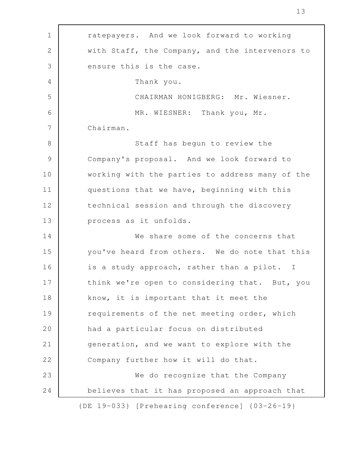| $\mathbf 1$     | ratepayers. And we look forward to working              |
|-----------------|---------------------------------------------------------|
| $\mathbf{2}$    | with Staff, the Company, and the intervenors to         |
| 3               | ensure this is the case.                                |
| $\overline{4}$  | Thank you.                                              |
| 5               | CHAIRMAN HONIGBERG: Mr. Wiesner.                        |
| 6               | MR. WIESNER: Thank you, Mr.                             |
| $7\phantom{.0}$ | Chairman.                                               |
| $8\,$           | Staff has begun to review the                           |
| $\mathcal{G}$   | Company's proposal. And we look forward to              |
| 10              | working with the parties to address many of the         |
| 11              | questions that we have, beginning with this             |
| 12              | technical session and through the discovery             |
| 13              | process as it unfolds.                                  |
| 14              | We share some of the concerns that                      |
| 15              | you've heard from others. We do note that this          |
| 16              | is a study approach, rather than a pilot. I             |
| 17              | think we're open to considering that. But, you          |
| 18              | know, it is important that it meet the                  |
| 19              | requirements of the net meeting order, which            |
| 20              | had a particular focus on distributed                   |
| 21              | generation, and we want to explore with the             |
| 22              | Company further how it will do that.                    |
| 23              | We do recognize that the Company                        |
| 24              | believes that it has proposed an approach that          |
|                 | $\{DE\ 19-033\}$ [Prehearing conference] $\{03-26-19\}$ |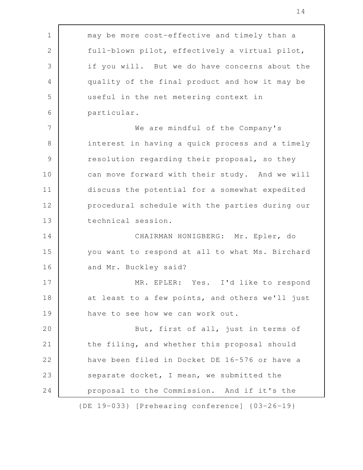| $\mathbf 1$   | may be more cost-effective and timely than a    |
|---------------|-------------------------------------------------|
| $\mathbf{2}$  | full-blown pilot, effectively a virtual pilot,  |
| 3             | if you will. But we do have concerns about the  |
| 4             | quality of the final product and how it may be  |
| 5             | useful in the net metering context in           |
| 6             | particular.                                     |
| 7             | We are mindful of the Company's                 |
| $8\,$         | interest in having a quick process and a timely |
| $\mathcal{G}$ | resolution regarding their proposal, so they    |
| 10            | can move forward with their study. And we will  |
| 11            | discuss the potential for a somewhat expedited  |
| 12            | procedural schedule with the parties during our |
| 13            | technical session.                              |
| 14            | CHAIRMAN HONIGBERG: Mr. Epler, do               |
| 15            | you want to respond at all to what Ms. Birchard |
| 16            | and Mr. Buckley said?                           |
| 17            | MR. EPLER: Yes. I'd like to respond             |
| 18            | at least to a few points, and others we'll just |
| 19            | have to see how we can work out.                |
| 20            | But, first of all, just in terms of             |
| 21            | the filing, and whether this proposal should    |
| 22            | have been filed in Docket DE 16-576 or have a   |
| 23            | separate docket, I mean, we submitted the       |
| 24            | proposal to the Commission. And if it's the     |
|               | {DE 19-033} [Prehearing conference] {03-26-19}  |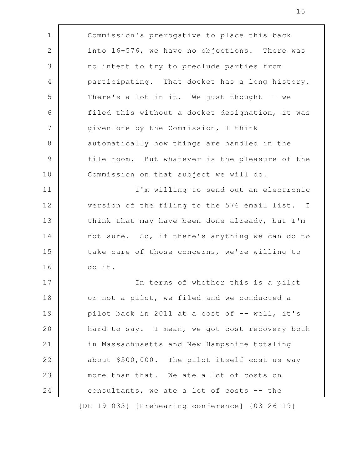Commission's prerogative to place this back into 16-576, we have no objections. There was no intent to try to preclude parties from participating. That docket has a long history. There's a lot in it. We just thought  $-$  we filed this without a docket designation, it was given one by the Commission, I think automatically how things are handled in the file room. But whatever is the pleasure of the Commission on that subject we will do. I'm willing to send out an electronic version of the filing to the 576 email list. I think that may have been done already, but I'm not sure. So, if there's anything we can do to take care of those concerns, we're willing to do it. In terms of whether this is a pilot or not a pilot, we filed and we conducted a pilot back in 2011 at a cost of -- well, it's hard to say. I mean, we got cost recovery both in Massachusetts and New Hampshire totaling about \$500,000. The pilot itself cost us way more than that. We ate a lot of costs on consultants, we ate a lot of costs -- the 1 2 3 4 5 6 7 8 9 10 11 12 13 14 15 16 17 18 19 20 21 22 23 24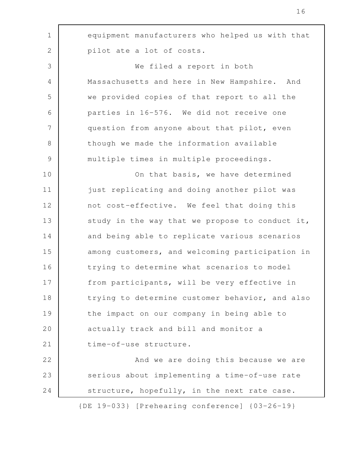| $\mathbf 1$   | equipment manufacturers who helped us with that |
|---------------|-------------------------------------------------|
| $\mathbf{2}$  | pilot ate a lot of costs.                       |
| 3             | We filed a report in both                       |
| 4             | Massachusetts and here in New Hampshire. And    |
| 5             | we provided copies of that report to all the    |
| 6             | parties in 16-576. We did not receive one       |
| 7             | question from anyone about that pilot, even     |
| $8\,$         | though we made the information available        |
| $\mathcal{G}$ | multiple times in multiple proceedings.         |
| 10            | On that basis, we have determined               |
| 11            | just replicating and doing another pilot was    |
| 12            | not cost-effective. We feel that doing this     |
| 13            | study in the way that we propose to conduct it, |
| 14            | and being able to replicate various scenarios   |
| 15            | among customers, and welcoming participation in |
| 16            | trying to determine what scenarios to model     |
| 17            | from participants, will be very effective in    |
| 18            | trying to determine customer behavior, and also |
| 19            | the impact on our company in being able to      |
| 20            | actually track and bill and monitor a           |
| 21            | time-of-use structure.                          |
| 22            | And we are doing this because we are            |
| 23            | serious about implementing a time-of-use rate   |
| 24            | structure, hopefully, in the next rate case.    |
|               | {DE 19-033} [Prehearing conference] {03-26-19}  |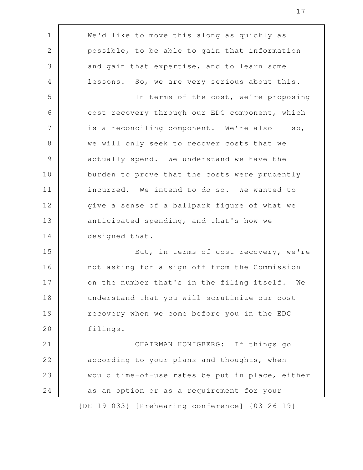We'd like to move this along as quickly as possible, to be able to gain that information and gain that expertise, and to learn some lessons. So, we are very serious about this. In terms of the cost, we're proposing cost recovery through our EDC component, which is a reconciling component. We're also -- so, we will only seek to recover costs that we actually spend. We understand we have the burden to prove that the costs were prudently incurred. We intend to do so. We wanted to give a sense of a ballpark figure of what we anticipated spending, and that's how we designed that. But, in terms of cost recovery, we're not asking for a sign-off from the Commission on the number that's in the filing itself. We understand that you will scrutinize our cost recovery when we come before you in the EDC filings. CHAIRMAN HONIGBERG: If things go according to your plans and thoughts, when would time-of-use rates be put in place, either as an option or as a requirement for your 1 2 3 4 5 6 7 8 9 10 11 12 13 14 15 16 17 18 19 20 21 22 23 24

{DE 19-033} [Prehearing conference] {03-26-19}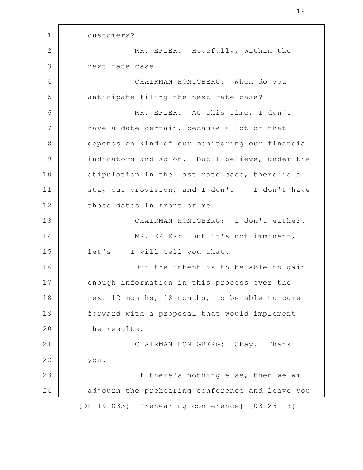customers? MR. EPLER: Hopefully, within the next rate case. CHAIRMAN HONIGBERG: When do you anticipate filing the next rate case? MR. EPLER: At this time, I don't have a date certain, because a lot of that depends on kind of our monitoring our financial indicators and so on. But I believe, under the stipulation in the last rate case, there is a stay-out provision, and I don't -- I don't have those dates in front of me. CHAIRMAN HONIGBERG: I don't either. MR. EPLER: But it's not imminent, let's -- I will tell you that. But the intent is to be able to gain enough information in this process over the next 12 months, 18 months, to be able to come forward with a proposal that would implement the results. CHAIRMAN HONIGBERG: Okay. Thank you. If there's nothing else, then we will adjourn the prehearing conference and leave you {DE 19-033} [Prehearing conference] {03-26-19} 1 2 3 4 5 6 7 8 9 10 11 12 13 14 15 16 17 18 19 20 21 22 23 24